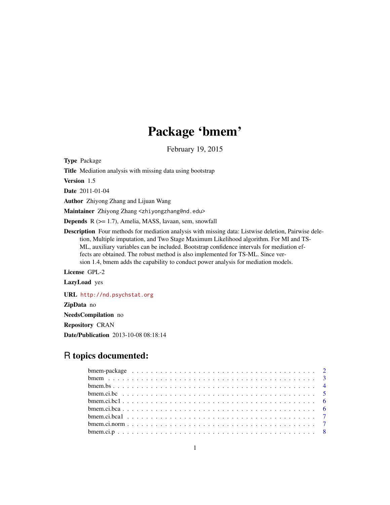# Package 'bmem'

February 19, 2015

<span id="page-0-0"></span>Type Package

Title Mediation analysis with missing data using bootstrap

Version 1.5

Date 2011-01-04

Author Zhiyong Zhang and Lijuan Wang

Maintainer Zhiyong Zhang <zhiyongzhang@nd.edu>

Depends R (>= 1.7), Amelia, MASS, lavaan, sem, snowfall

Description Four methods for mediation analysis with missing data: Listwise deletion, Pairwise deletion, Multiple imputation, and Two Stage Maximum Likelihood algorithm. For MI and TS-ML, auxiliary variables can be included. Bootstrap confidence intervals for mediation effects are obtained. The robust method is also implemented for TS-ML. Since version 1.4, bmem adds the capability to conduct power analysis for mediation models.

License GPL-2

LazyLoad yes

URL <http://nd.psychstat.org>

ZipData no

NeedsCompilation no

Repository CRAN

Date/Publication 2013-10-08 08:18:14

# R topics documented: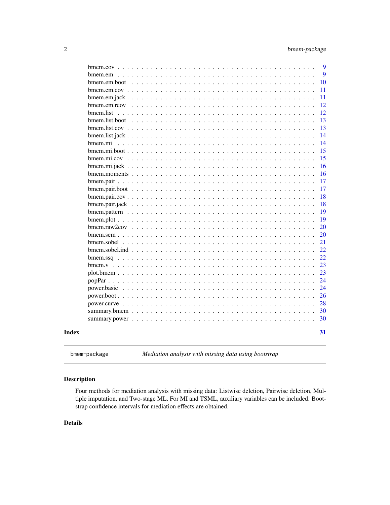<span id="page-1-0"></span>

|       |                  |  |  |  |  |  |  |  |  |  |  |  |  |  | 9  |
|-------|------------------|--|--|--|--|--|--|--|--|--|--|--|--|--|----|
|       |                  |  |  |  |  |  |  |  |  |  |  |  |  |  | 9  |
|       | bmem.em.boot     |  |  |  |  |  |  |  |  |  |  |  |  |  | 10 |
|       |                  |  |  |  |  |  |  |  |  |  |  |  |  |  | 11 |
|       |                  |  |  |  |  |  |  |  |  |  |  |  |  |  | 11 |
|       |                  |  |  |  |  |  |  |  |  |  |  |  |  |  | 12 |
|       | bmem.list        |  |  |  |  |  |  |  |  |  |  |  |  |  | 12 |
|       | bmem.list.boot   |  |  |  |  |  |  |  |  |  |  |  |  |  | 13 |
|       |                  |  |  |  |  |  |  |  |  |  |  |  |  |  | 13 |
|       |                  |  |  |  |  |  |  |  |  |  |  |  |  |  | 14 |
|       |                  |  |  |  |  |  |  |  |  |  |  |  |  |  | 14 |
|       |                  |  |  |  |  |  |  |  |  |  |  |  |  |  | 15 |
|       |                  |  |  |  |  |  |  |  |  |  |  |  |  |  | 15 |
|       |                  |  |  |  |  |  |  |  |  |  |  |  |  |  | 16 |
|       |                  |  |  |  |  |  |  |  |  |  |  |  |  |  | 16 |
|       |                  |  |  |  |  |  |  |  |  |  |  |  |  |  | 17 |
|       |                  |  |  |  |  |  |  |  |  |  |  |  |  |  | 17 |
|       |                  |  |  |  |  |  |  |  |  |  |  |  |  |  | 18 |
|       |                  |  |  |  |  |  |  |  |  |  |  |  |  |  | 18 |
|       |                  |  |  |  |  |  |  |  |  |  |  |  |  |  | 19 |
|       |                  |  |  |  |  |  |  |  |  |  |  |  |  |  | 19 |
|       |                  |  |  |  |  |  |  |  |  |  |  |  |  |  | 20 |
|       |                  |  |  |  |  |  |  |  |  |  |  |  |  |  | 20 |
|       |                  |  |  |  |  |  |  |  |  |  |  |  |  |  | 21 |
|       |                  |  |  |  |  |  |  |  |  |  |  |  |  |  | 22 |
|       |                  |  |  |  |  |  |  |  |  |  |  |  |  |  | 22 |
|       | $b$ mem. $v$ , , |  |  |  |  |  |  |  |  |  |  |  |  |  | 23 |
|       |                  |  |  |  |  |  |  |  |  |  |  |  |  |  | 23 |
|       |                  |  |  |  |  |  |  |  |  |  |  |  |  |  | 24 |
|       |                  |  |  |  |  |  |  |  |  |  |  |  |  |  | 24 |
|       |                  |  |  |  |  |  |  |  |  |  |  |  |  |  | 26 |
|       |                  |  |  |  |  |  |  |  |  |  |  |  |  |  | 28 |
|       |                  |  |  |  |  |  |  |  |  |  |  |  |  |  | 30 |
|       |                  |  |  |  |  |  |  |  |  |  |  |  |  |  | 30 |
|       |                  |  |  |  |  |  |  |  |  |  |  |  |  |  |    |
| Index |                  |  |  |  |  |  |  |  |  |  |  |  |  |  | 31 |
|       |                  |  |  |  |  |  |  |  |  |  |  |  |  |  |    |

bmem-package *Mediation analysis with missing data using bootstrap*

# Description

Four methods for mediation analysis with missing data: Listwise deletion, Pairwise deletion, Multiple imputation, and Two-stage ML. For MI and TSML, auxiliary variables can be included. Bootstrap confidence intervals for mediation effects are obtained.

# Details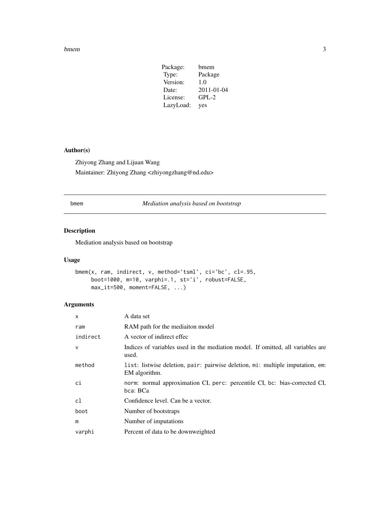#### <span id="page-2-0"></span>bmem 3

| Package:  | bmem             |
|-----------|------------------|
| Type:     | Package          |
| Version:  | 1.0              |
| Date:     | $2011 - 01 - 04$ |
| License:  | $GPL-2$          |
| LazyLoad: | yes              |

# Author(s)

Zhiyong Zhang and Lijuan Wang Maintainer: Zhiyong Zhang <zhiyongzhang@nd.edu>

# <span id="page-2-1"></span>bmem *Mediation analysis based on bootstrap*

# Description

Mediation analysis based on bootstrap

# Usage

```
bmem(x, ram, indirect, v, method='tsml', ci='bc', cl=.95,
    boot=1000, m=10, varphi=.1, st='i', robust=FALSE,
     max_it=500, moment=FALSE, ...)
```

| X            | A data set                                                                                      |
|--------------|-------------------------------------------------------------------------------------------------|
| ram          | RAM path for the mediaiton model                                                                |
| indirect     | A vector of indirect effec                                                                      |
| $\mathsf{V}$ | Indices of variables used in the mediation model. If omitted, all variables are<br>used.        |
| method       | list: listwise deletion, pair: pairwise deletion, mi: multiple imputation, em:<br>EM algorithm. |
| ci           | norm: normal approximation CI, perc: percentile CI, bc: bias-corrected CI,<br>bca: BCa          |
| cl           | Confidence level. Can be a vector.                                                              |
| boot         | Number of bootstraps                                                                            |
| m            | Number of imputations                                                                           |
| varphi       | Percent of data to be downweighted                                                              |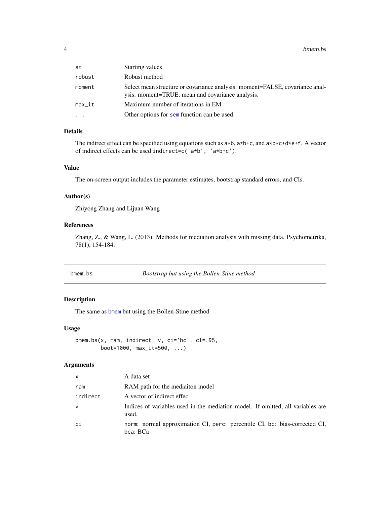#### <span id="page-3-0"></span>4 bmem.bs

| st       | Starting values                                                                                                                  |
|----------|----------------------------------------------------------------------------------------------------------------------------------|
| robust   | Robust method                                                                                                                    |
| moment   | Select mean structure or covariance analysis. moment=FALSE, covariance anal-<br>ysis. moment=TRUE, mean and covariance analysis. |
| $max_it$ | Maximum number of iterations in EM                                                                                               |
| $\cdot$  | Other options for sem function can be used.                                                                                      |

#### Details

The indirect effect can be specified using equations such as a\*b, a\*b+c, and a\*b\*c+d\*e+f. A vector of indirect effects can be used indirect=c('a\*b', 'a\*b+c').

#### Value

The on-screen output includes the parameter estimates, bootstrap standard errors, and CIs.

#### Author(s)

Zhiyong Zhang and Lijuan Wang

#### References

Zhang, Z., & Wang, L. (2013). Methods for mediation analysis with missing data. Psychometrika, 78(1), 154-184.

bmem.bs *Bootstrap but using the Bollen-Stine method*

# Description

The same as [bmem](#page-2-1) but using the Bollen-Stine method

#### Usage

bmem.bs(x, ram, indirect, v, ci='bc', cl=.95, boot=1000, max\_it=500, ...)

| X.       | A data set                                                                               |
|----------|------------------------------------------------------------------------------------------|
| ram      | RAM path for the mediaiton model                                                         |
| indirect | A vector of indirect effec                                                               |
| v        | Indices of variables used in the mediation model. If omitted, all variables are<br>used. |
| сi       | norm: normal approximation CI, perc: percentile CI, bc: bias-corrected CI,<br>bca: BCa   |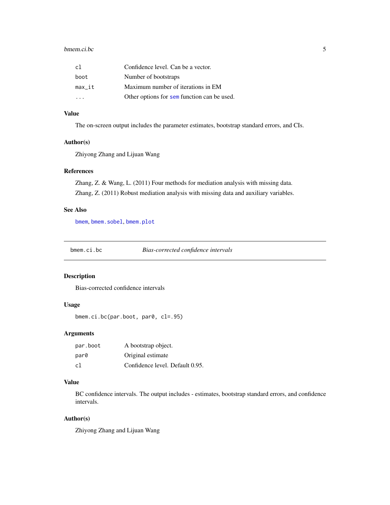#### <span id="page-4-0"></span>bmem.ci.bc 5

| cl     | Confidence level. Can be a vector.          |
|--------|---------------------------------------------|
| boot   | Number of bootstraps                        |
| max it | Maximum number of iterations in EM          |
|        | Other options for sem function can be used. |

# Value

The on-screen output includes the parameter estimates, bootstrap standard errors, and CIs.

#### Author(s)

Zhiyong Zhang and Lijuan Wang

#### References

Zhang, Z. & Wang, L. (2011) Four methods for mediation analysis with missing data. Zhang, Z. (2011) Robust mediation analysis with missing data and auxiliary variables.

#### See Also

[bmem](#page-2-1), [bmem.sobel](#page-20-1), [bmem.plot](#page-18-1)

<span id="page-4-1"></span>bmem.ci.bc *Bias-corrected confidence intervals*

#### Description

Bias-corrected confidence intervals

#### Usage

bmem.ci.bc(par.boot, par0, cl=.95)

#### Arguments

| par.boot | A bootstrap object.             |
|----------|---------------------------------|
| par0     | Original estimate               |
| c1       | Confidence level. Default 0.95. |

#### Value

BC confidence intervals. The output includes - estimates, bootstrap standard errors, and confidence intervals.

#### Author(s)

Zhiyong Zhang and Lijuan Wang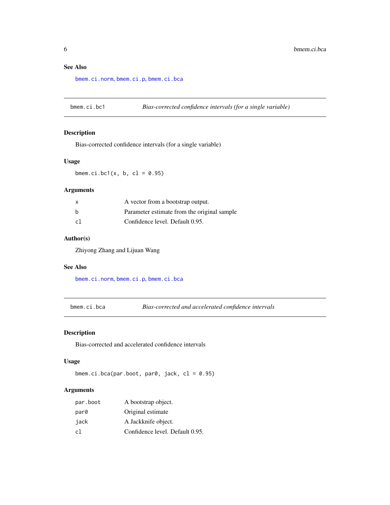# <span id="page-5-0"></span>See Also

[bmem.ci.norm](#page-6-1), [bmem.ci.p](#page-7-1), [bmem.ci.bca](#page-5-1)

bmem.ci.bc1 *Bias-corrected confidence intervals (for a single variable)*

#### Description

Bias-corrected confidence intervals (for a single variable)

#### Usage

bmem.ci.bc1( $x$ ,  $b$ ,  $c1 = 0.95$ )

#### Arguments

| X  | A vector from a bootstrap output.           |
|----|---------------------------------------------|
| b  | Parameter estimate from the original sample |
| c1 | Confidence level. Default 0.95.             |

#### Author(s)

Zhiyong Zhang and Lijuan Wang

# See Also

[bmem.ci.norm](#page-6-1), [bmem.ci.p](#page-7-1), [bmem.ci.bca](#page-5-1)

<span id="page-5-1"></span>bmem.ci.bca *Bias-corrected and accelerated confidence intervals*

# Description

Bias-corrected and accelerated confidence intervals

#### Usage

```
bmem.ci.bca(par.boot, par0, jack, cl = 0.95)
```

| par.boot | A bootstrap object.             |
|----------|---------------------------------|
| par0     | Original estimate               |
| jack     | A Jackknife object.             |
| cl       | Confidence level. Default 0.95. |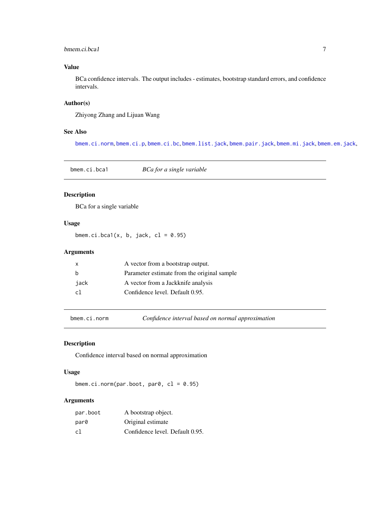# <span id="page-6-0"></span>bmem.ci.bca1 7

# Value

BCa confidence intervals. The output includes - estimates, bootstrap standard errors, and confidence intervals.

# Author(s)

Zhiyong Zhang and Lijuan Wang

#### See Also

[bmem.ci.norm](#page-6-1), [bmem.ci.p](#page-7-1), [bmem.ci.bc](#page-4-1), [bmem.list.jack](#page-13-1), [bmem.pair.jack](#page-17-1), [bmem.mi.jack](#page-15-1), [bmem.em.jack](#page-10-1),

bmem.ci.bca1 *BCa for a single variable*

# Description

BCa for a single variable

# Usage

bmem.ci.bca1(x, b, jack,  $cl = 0.95$ )

# Arguments

| x    | A vector from a bootstrap output.           |
|------|---------------------------------------------|
| h    | Parameter estimate from the original sample |
| iack | A vector from a Jackknife analysis          |
| c1   | Confidence level. Default 0.95.             |

<span id="page-6-1"></span>bmem.ci.norm *Confidence interval based on normal approximation*

# Description

Confidence interval based on normal approximation

#### Usage

bmem.ci.norm(par.boot, par0,  $cl = 0.95$ )

| par.boot | A bootstrap object.             |
|----------|---------------------------------|
| par0     | Original estimate               |
| c1       | Confidence level. Default 0.95. |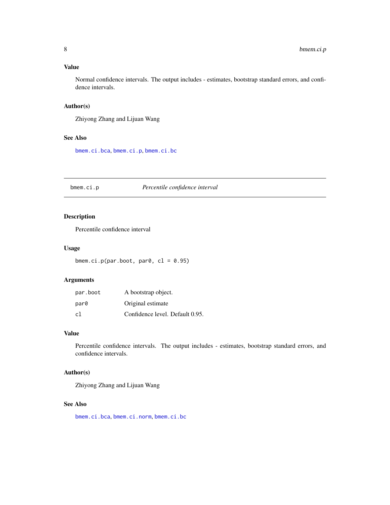# <span id="page-7-0"></span>Value

Normal confidence intervals. The output includes - estimates, bootstrap standard errors, and confidence intervals.

#### Author(s)

Zhiyong Zhang and Lijuan Wang

#### See Also

[bmem.ci.bca](#page-5-1), [bmem.ci.p](#page-7-1), [bmem.ci.bc](#page-4-1)

<span id="page-7-1"></span>bmem.ci.p *Percentile confidence interval*

# Description

Percentile confidence interval

# Usage

bmem.ci.p(par.boot, par0,  $cl = 0.95$ )

# Arguments

| par.boot | A bootstrap object.             |
|----------|---------------------------------|
| par0     | Original estimate               |
| cl       | Confidence level. Default 0.95. |

#### Value

Percentile confidence intervals. The output includes - estimates, bootstrap standard errors, and confidence intervals.

# Author(s)

Zhiyong Zhang and Lijuan Wang

#### See Also

[bmem.ci.bca](#page-5-1), [bmem.ci.norm](#page-6-1), [bmem.ci.bc](#page-4-1)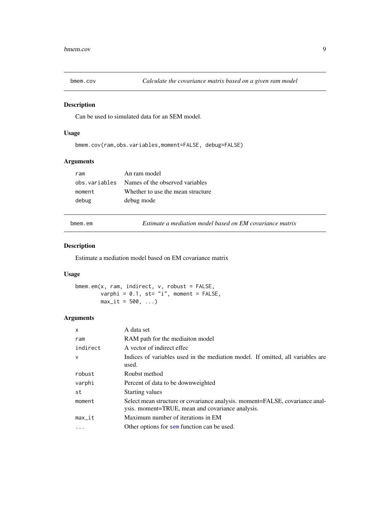<span id="page-8-0"></span>

Can be used to simulated data for an SEM model.

# Usage

```
bmem.cov(ram,obs.variables,moment=FALSE, debug=FALSE)
```
# Arguments

| ram    | An ram model                                   |
|--------|------------------------------------------------|
|        | obs. variables Names of the observed variables |
| moment | Whether to use the mean structure              |
| debug  | debug mode                                     |

bmem.em *Estimate a mediation model based on EM covariance matrix*

# Description

Estimate a mediation model based on EM covariance matrix

#### Usage

bmem.em(x, ram, indirect, v, robust = FALSE, varphi =  $0.1$ , st= "i", moment = FALSE,  $max_i = 500, ...$ 

| $\mathsf{x}$ | A data set                                                                                                                       |
|--------------|----------------------------------------------------------------------------------------------------------------------------------|
| ram          | RAM path for the mediaiton model                                                                                                 |
| indirect     | A vector of indirect effec                                                                                                       |
| $\mathsf{v}$ | Indices of variables used in the mediation model. If omitted, all variables are<br>used.                                         |
| robust       | Roubst method                                                                                                                    |
| varphi       | Percent of data to be downweighted                                                                                               |
| st           | <b>Starting values</b>                                                                                                           |
| moment       | Select mean structure or covariance analysis. moment=FALSE, covariance anal-<br>ysis. moment=TRUE, mean and covariance analysis. |
| $max_it$     | Maximum number of iterations in EM                                                                                               |
| $\ddotsc$    | Other options for sem function can be used.                                                                                      |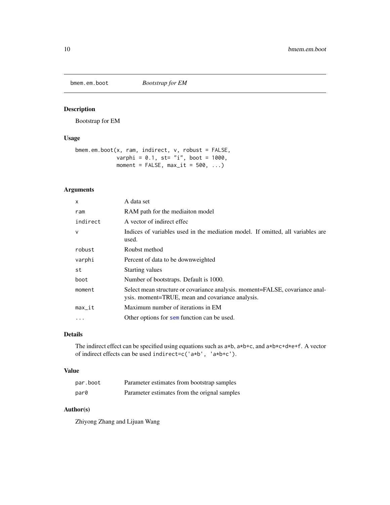<span id="page-9-0"></span>

Bootstrap for EM

# Usage

```
bmem.em.boot(x, ram, indirect, v, robust = FALSE,
            varphi = 0.1, st= "i", boot = 1000,
            moment = FALSE, max_it = 500, ...
```
# Arguments

| $\mathsf{x}$ | A data set                                                                                                                       |
|--------------|----------------------------------------------------------------------------------------------------------------------------------|
| ram          | RAM path for the mediaiton model                                                                                                 |
| indirect     | A vector of indirect effec                                                                                                       |
| $\mathsf{v}$ | Indices of variables used in the mediation model. If omitted, all variables are<br>used.                                         |
| robust       | Roubst method                                                                                                                    |
| varphi       | Percent of data to be downweighted                                                                                               |
| st           | <b>Starting values</b>                                                                                                           |
| boot         | Number of bootstraps. Default is 1000.                                                                                           |
| moment       | Select mean structure or covariance analysis. moment=FALSE, covariance anal-<br>ysis. moment=TRUE, mean and covariance analysis. |
| $max_i$      | Maximum number of iterations in EM                                                                                               |
| $\cdots$     | Other options for sem function can be used.                                                                                      |

# Details

The indirect effect can be specified using equations such as a\*b, a\*b+c, and a\*b\*c+d\*e+f. A vector of indirect effects can be used indirect=c('a\*b', 'a\*b+c').

#### Value

| par.boot | Parameter estimates from bootstrap samples   |
|----------|----------------------------------------------|
| par0     | Parameter estimates from the orignal samples |

# Author(s)

Zhiyong Zhang and Lijuan Wang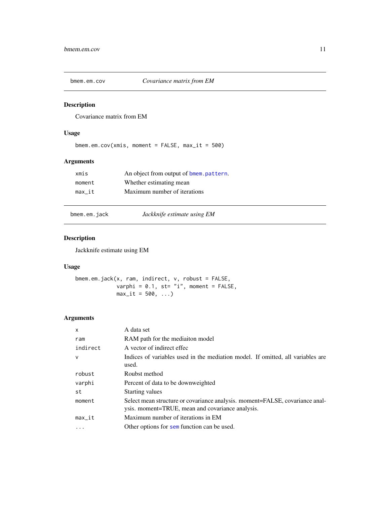<span id="page-10-2"></span><span id="page-10-0"></span>

Covariance matrix from EM

# Usage

```
bmem.em.cov(xmis, moment = FALSE, max_it = 500)
```
# Arguments

| xmis   | An object from output of bmem.pattern. |
|--------|----------------------------------------|
| moment | Whether estimating mean                |
| max it | Maximum number of iterations           |

<span id="page-10-1"></span>

bmem.em.jack *Jackknife estimate using EM*

# Description

Jackknife estimate using EM

#### Usage

```
bmem.em.jack(x, ram, indirect, v, robust = FALSE,
            varphi = 0.1, st= "i", moment = FALSE,
            max_i t = 500, ...
```

| $\mathsf{x}$ | A data set                                                                                                                       |
|--------------|----------------------------------------------------------------------------------------------------------------------------------|
| ram          | RAM path for the mediaiton model                                                                                                 |
| indirect     | A vector of indirect effec                                                                                                       |
| $\vee$       | Indices of variables used in the mediation model. If omitted, all variables are<br>used.                                         |
| robust       | Roubst method                                                                                                                    |
| varphi       | Percent of data to be downweighted                                                                                               |
| st           | <b>Starting values</b>                                                                                                           |
| moment       | Select mean structure or covariance analysis. moment=FALSE, covariance anal-<br>ysis. moment=TRUE, mean and covariance analysis. |
| $max_i$      | Maximum number of iterations in EM                                                                                               |
| $\cdots$     | Other options for sem function can be used.                                                                                      |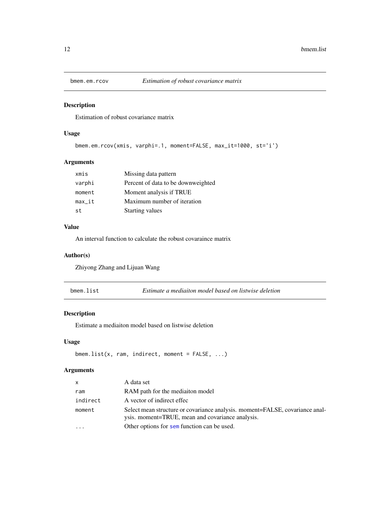<span id="page-11-0"></span>

Estimation of robust covariance matrix

# Usage

```
bmem.em.rcov(xmis, varphi=.1, moment=FALSE, max_it=1000, st='i')
```
# Arguments

| xmis     | Missing data pattern               |
|----------|------------------------------------|
| varphi   | Percent of data to be downweighted |
| moment   | Moment analysis if TRUE            |
| $max_it$ | Maximum number of iteration        |
| st       | <b>Starting values</b>             |

#### Value

An interval function to calculate the robust covaraince matrix

#### Author(s)

Zhiyong Zhang and Lijuan Wang

| bmem.list<br>Estimate a mediaiton model based on listwise deletion |
|--------------------------------------------------------------------|
|--------------------------------------------------------------------|

# Description

Estimate a mediaiton model based on listwise deletion

# Usage

```
bmem.list(x, ram, indirect, moment = FALSE, ...)
```

| $\mathsf{x}$ | A data set                                                                                                                       |
|--------------|----------------------------------------------------------------------------------------------------------------------------------|
| ram          | RAM path for the mediation model                                                                                                 |
| indirect     | A vector of indirect effec                                                                                                       |
| moment       | Select mean structure or covariance analysis. moment=FALSE, covariance anal-<br>ysis. moment=TRUE, mean and covariance analysis. |
|              | Other options for sem function can be used.                                                                                      |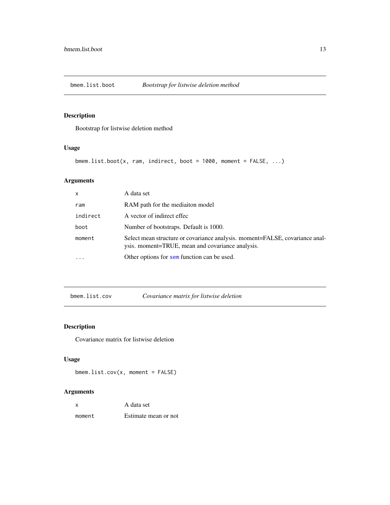<span id="page-12-0"></span>

Bootstrap for listwise deletion method

# Usage

```
bmem.list.boot(x, ram, indirect, boot = 1000, moment = FALSE, ...)
```
# Arguments

| $\mathsf{x}$ | A data set                                                                                                                       |
|--------------|----------------------------------------------------------------------------------------------------------------------------------|
| ram          | RAM path for the mediaiton model                                                                                                 |
| indirect     | A vector of indirect effec                                                                                                       |
| boot         | Number of bootstraps. Default is 1000.                                                                                           |
| moment       | Select mean structure or covariance analysis. moment=FALSE, covariance anal-<br>ysis. moment=TRUE, mean and covariance analysis. |
|              | Other options for sem function can be used.                                                                                      |

<span id="page-12-1"></span>

| bmem.list.cov |  |
|---------------|--|
|---------------|--|

 $Covariance$  matrix for listwise deletion

# Description

Covariance matrix for listwise deletion

# Usage

bmem.list.cov(x, moment = FALSE)

| $\boldsymbol{\mathsf{x}}$ | A data set           |
|---------------------------|----------------------|
| moment                    | Estimate mean or not |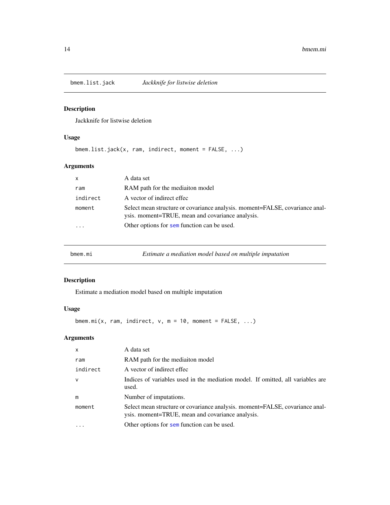<span id="page-13-1"></span><span id="page-13-0"></span>

Jackknife for listwise deletion

# Usage

bmem.list.jack(x, ram, indirect, moment = FALSE, ...)

# Arguments

| X                       | A data set                                                                                                                       |
|-------------------------|----------------------------------------------------------------------------------------------------------------------------------|
| ram                     | RAM path for the mediaiton model                                                                                                 |
| indirect                | A vector of indirect effec                                                                                                       |
| moment                  | Select mean structure or covariance analysis. moment=FALSE, covariance anal-<br>ysis. moment=TRUE, mean and covariance analysis. |
| $\cdot$ $\cdot$ $\cdot$ | Other options for sem function can be used.                                                                                      |
|                         |                                                                                                                                  |

| Estimate a mediation model based on multiple imputation<br>bmem.mi |  |
|--------------------------------------------------------------------|--|
|--------------------------------------------------------------------|--|

# Description

Estimate a mediation model based on multiple imputation

# Usage

bmem.mi(x, ram, indirect,  $v$ , m = 10, moment = FALSE, ...)

| $\mathsf{x}$ | A data set                                                                                                                       |
|--------------|----------------------------------------------------------------------------------------------------------------------------------|
| ram          | RAM path for the mediaiton model                                                                                                 |
| indirect     | A vector of indirect effec                                                                                                       |
| $\mathsf{v}$ | Indices of variables used in the mediation model. If omitted, all variables are<br>used.                                         |
| m            | Number of imputations.                                                                                                           |
| moment       | Select mean structure or covariance analysis. moment=FALSE, covariance anal-<br>ysis. moment=TRUE, mean and covariance analysis. |
|              | Other options for sem function can be used.                                                                                      |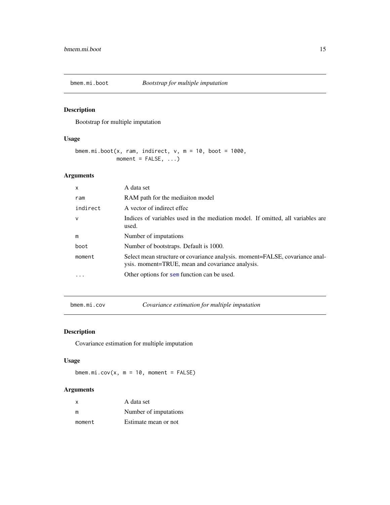<span id="page-14-0"></span>

Bootstrap for multiple imputation

# Usage

```
bmem.mi.boot(x, ram, indirect, v, m = 10, boot = 1000,
            moment = FALSE, ...)
```
# Arguments

| X            | A data set                                                                                                                       |
|--------------|----------------------------------------------------------------------------------------------------------------------------------|
| ram          | RAM path for the mediaiton model                                                                                                 |
| indirect     | A vector of indirect effec                                                                                                       |
| $\mathsf{V}$ | Indices of variables used in the mediation model. If omitted, all variables are<br>used.                                         |
| m            | Number of imputations                                                                                                            |
| boot         | Number of bootstraps. Default is 1000.                                                                                           |
| moment       | Select mean structure or covariance analysis. moment=FALSE, covariance anal-<br>ysis. moment=TRUE, mean and covariance analysis. |
|              | Other options for sem function can be used.                                                                                      |

<span id="page-14-1"></span>bmem.mi.cov *Covariance estimation for multiple imputation*

# Description

Covariance estimation for multiple imputation

# Usage

 $b$ mem.mi.cov(x, m = 10, moment = FALSE)

| $\mathsf{x}$ | A data set            |
|--------------|-----------------------|
| m            | Number of imputations |
| moment       | Estimate mean or not  |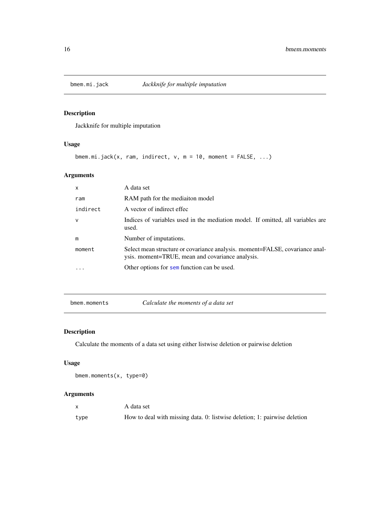<span id="page-15-1"></span><span id="page-15-0"></span>

Jackknife for multiple imputation

# Usage

```
bmem.mi.jack(x, ram, indirect, v, m = 10, moment = FALSE, ...)
```
# Arguments

| $\mathsf{x}$ | A data set                                                                                                                       |
|--------------|----------------------------------------------------------------------------------------------------------------------------------|
| ram          | RAM path for the mediaiton model                                                                                                 |
| indirect     | A vector of indirect effec                                                                                                       |
| $\mathsf{v}$ | Indices of variables used in the mediation model. If omitted, all variables are<br>used.                                         |
| m            | Number of imputations.                                                                                                           |
| moment       | Select mean structure or covariance analysis. moment=FALSE, covariance anal-<br>ysis. moment=TRUE, mean and covariance analysis. |
|              | Other options for sem function can be used.                                                                                      |

bmem.moments *Calculate the moments of a data set*

# Description

Calculate the moments of a data set using either listwise deletion or pairwise deletion

#### Usage

bmem.moments(x, type=0)

|      | A data set                                                                |
|------|---------------------------------------------------------------------------|
| type | How to deal with missing data. 0: listwise deletion; 1: pairwise deletion |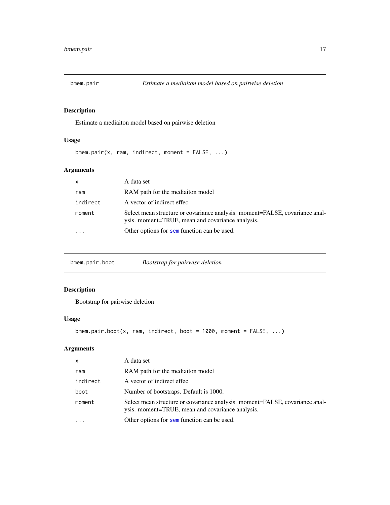<span id="page-16-0"></span>

Estimate a mediaiton model based on pairwise deletion

# Usage

```
bmem.pair(x, ram, indirect, moment = FALSE, ...)
```
# Arguments

| $\mathsf{x}$ | A data set                                                                                                                       |
|--------------|----------------------------------------------------------------------------------------------------------------------------------|
| ram          | RAM path for the mediaiton model                                                                                                 |
| indirect     | A vector of indirect effec                                                                                                       |
| moment       | Select mean structure or covariance analysis. moment=FALSE, covariance anal-<br>ysis. moment=TRUE, mean and covariance analysis. |
|              | Other options for sem function can be used.                                                                                      |

| bmem.pair.boot |
|----------------|
|----------------|

# Description

Bootstrap for pairwise deletion

# Usage

```
bmem.pair.boot(x, ram, indirect, boot = 1000, moment = FALSE, ...)
```

| $\mathsf{x}$            | A data set                                                                                                                       |
|-------------------------|----------------------------------------------------------------------------------------------------------------------------------|
| ram                     | RAM path for the mediaiton model                                                                                                 |
| indirect                | A vector of indirect effec                                                                                                       |
| boot                    | Number of bootstraps. Default is 1000.                                                                                           |
| moment                  | Select mean structure or covariance analysis. moment=FALSE, covariance anal-<br>ysis. moment=TRUE, mean and covariance analysis. |
| $\cdot$ $\cdot$ $\cdot$ | Other options for sem function can be used.                                                                                      |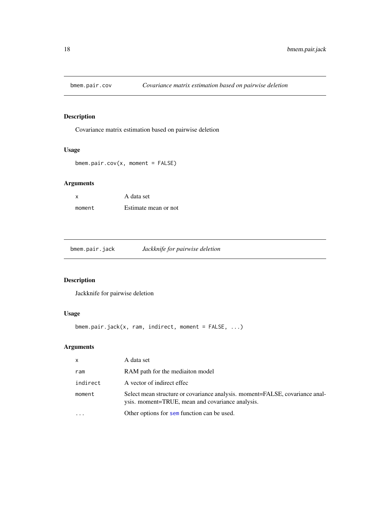<span id="page-17-2"></span><span id="page-17-0"></span>

Covariance matrix estimation based on pairwise deletion

# Usage

```
bmem.pair.cov(x, moment = FALSE)
```
# Arguments

| <b>X</b> | A data set           |
|----------|----------------------|
| moment   | Estimate mean or not |

<span id="page-17-1"></span>bmem.pair.jack *Jackknife for pairwise deletion*

# Description

Jackknife for pairwise deletion

# Usage

bmem.pair.jack(x, ram, indirect, moment = FALSE, ...)

| $\mathsf{x}$ | A data set                                                                                                                       |
|--------------|----------------------------------------------------------------------------------------------------------------------------------|
| ram          | RAM path for the mediaiton model                                                                                                 |
| indirect     | A vector of indirect effec                                                                                                       |
| moment       | Select mean structure or covariance analysis. moment=FALSE, covariance anal-<br>ysis. moment=TRUE, mean and covariance analysis. |
|              | Other options for sem function can be used.                                                                                      |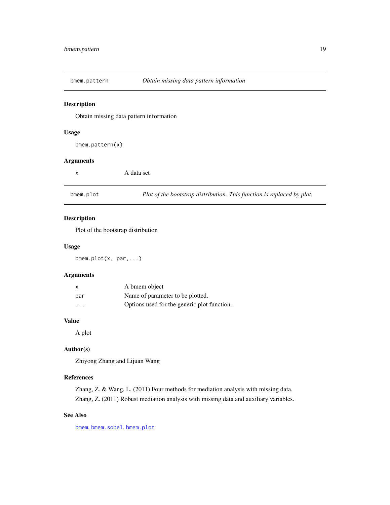<span id="page-18-2"></span><span id="page-18-0"></span>

Obtain missing data pattern information

#### Usage

bmem.pattern(x)

# Arguments

| X | A data set |
|---|------------|
|   |            |

<span id="page-18-1"></span>bmem.plot *Plot of the bootstrap distribution. This function is replaced by plot.*

#### Description

Plot of the bootstrap distribution

#### Usage

bmem.plot(x, par,...)

#### Arguments

| $\mathsf{x}$ | A bmem object                               |
|--------------|---------------------------------------------|
| par          | Name of parameter to be plotted.            |
| .            | Options used for the generic plot function. |

#### Value

A plot

# Author(s)

Zhiyong Zhang and Lijuan Wang

# References

Zhang, Z. & Wang, L. (2011) Four methods for mediation analysis with missing data. Zhang, Z. (2011) Robust mediation analysis with missing data and auxiliary variables.

#### See Also

[bmem](#page-2-1), [bmem.sobel](#page-20-1), [bmem.plot](#page-18-1)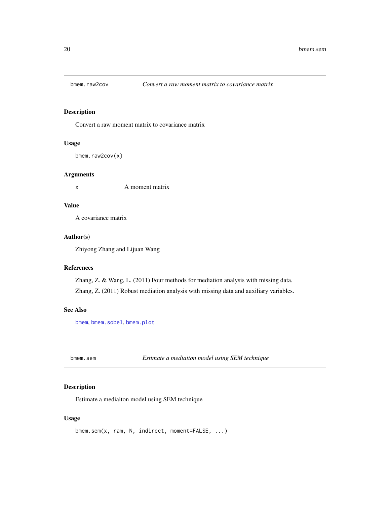<span id="page-19-0"></span>

Convert a raw moment matrix to covariance matrix

# Usage

```
bmem.raw2cov(x)
```
#### Arguments

x A moment matrix

#### Value

A covariance matrix

#### Author(s)

Zhiyong Zhang and Lijuan Wang

#### References

Zhang, Z. & Wang, L. (2011) Four methods for mediation analysis with missing data. Zhang, Z. (2011) Robust mediation analysis with missing data and auxiliary variables.

#### See Also

[bmem](#page-2-1), [bmem.sobel](#page-20-1), [bmem.plot](#page-18-1)

bmem.sem *Estimate a mediaiton model using SEM technique*

#### Description

Estimate a mediaiton model using SEM technique

#### Usage

```
bmem.sem(x, ram, N, indirect, moment=FALSE, ...)
```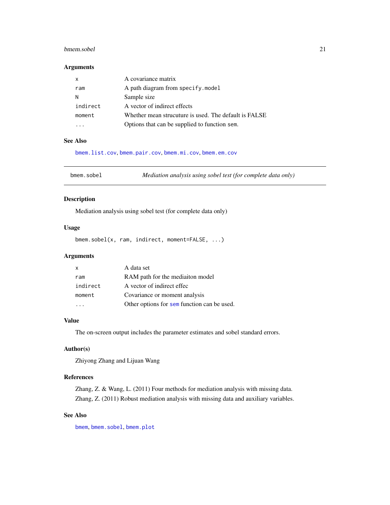#### <span id="page-20-0"></span>bmem.sobel 21

#### Arguments

| $\times$ | A covariance matrix                                   |
|----------|-------------------------------------------------------|
| ram      | A path diagram from specify.model                     |
| N        | Sample size                                           |
| indirect | A vector of indirect effects                          |
| moment   | Whether mean strucuture is used. The default is FALSE |
|          | Options that can be supplied to function sem.         |

# See Also

[bmem.list.cov](#page-12-1), [bmem.pair.cov](#page-17-2), [bmem.mi.cov](#page-14-1), [bmem.em.cov](#page-10-2)

<span id="page-20-1"></span>bmem.sobel *Mediation analysis using sobel test (for complete data only)*

#### Description

Mediation analysis using sobel test (for complete data only)

# Usage

bmem.sobel(x, ram, indirect, moment=FALSE, ...)

# Arguments

| X        | A data set                                  |
|----------|---------------------------------------------|
| ram      | RAM path for the mediaiton model            |
| indirect | A vector of indirect effec                  |
| moment   | Covariance or moment analysis               |
|          | Other options for sem function can be used. |

#### Value

The on-screen output includes the parameter estimates and sobel standard errors.

#### Author(s)

Zhiyong Zhang and Lijuan Wang

# References

Zhang, Z. & Wang, L. (2011) Four methods for mediation analysis with missing data. Zhang, Z. (2011) Robust mediation analysis with missing data and auxiliary variables.

#### See Also

[bmem](#page-2-1), [bmem.sobel](#page-20-1), [bmem.plot](#page-18-1)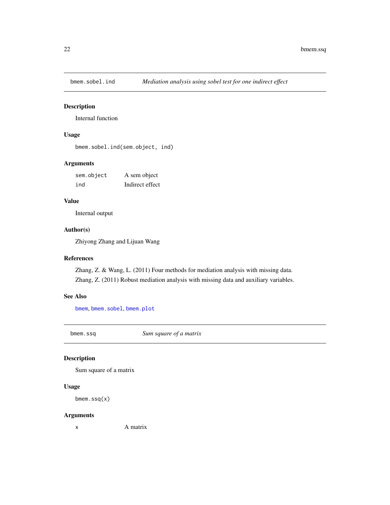<span id="page-21-0"></span>

Internal function

#### Usage

bmem.sobel.ind(sem.object, ind)

# Arguments

| sem.object | A sem object    |
|------------|-----------------|
| ind        | Indirect effect |

#### Value

Internal output

# Author(s)

Zhiyong Zhang and Lijuan Wang

# References

Zhang, Z. & Wang, L. (2011) Four methods for mediation analysis with missing data. Zhang, Z. (2011) Robust mediation analysis with missing data and auxiliary variables.

#### See Also

[bmem](#page-2-1), [bmem.sobel](#page-20-1), [bmem.plot](#page-18-1)

bmem.ssq *Sum square of a matrix*

# Description

Sum square of a matrix

# Usage

```
bmem.ssq(x)
```
#### Arguments

x A matrix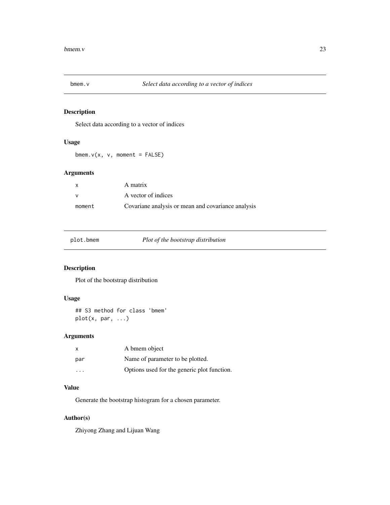<span id="page-22-0"></span>

Select data according to a vector of indices

#### Usage

 $b$ mem.v(x, v, moment = FALSE)

# Arguments

| X      | A matrix                                           |
|--------|----------------------------------------------------|
|        | A vector of indices                                |
| moment | Covariane analysis or mean and covariance analysis |

plot.bmem *Plot of the bootstrap distribution*

# Description

Plot of the bootstrap distribution

# Usage

```
## S3 method for class 'bmem'
plot(x, par, ...)
```
# Arguments

| x                       | A bmem object                               |
|-------------------------|---------------------------------------------|
| par                     | Name of parameter to be plotted.            |
| $\cdot$ $\cdot$ $\cdot$ | Options used for the generic plot function. |

#### Value

Generate the bootstrap histogram for a chosen parameter.

# Author(s)

Zhiyong Zhang and Lijuan Wang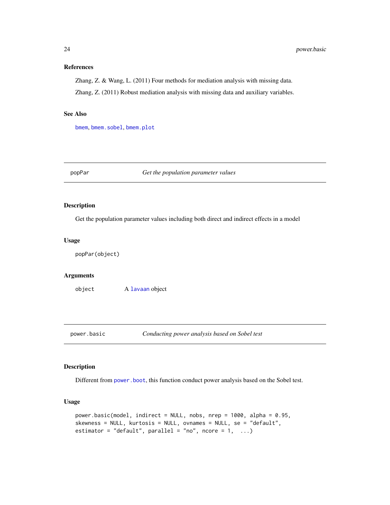#### <span id="page-23-0"></span>References

Zhang, Z. & Wang, L. (2011) Four methods for mediation analysis with missing data.

Zhang, Z. (2011) Robust mediation analysis with missing data and auxiliary variables.

#### See Also

[bmem](#page-2-1), [bmem.sobel](#page-20-1), [bmem.plot](#page-18-1)

popPar *Get the population parameter values*

#### Description

Get the population parameter values including both direct and indirect effects in a model

#### Usage

popPar(object)

# Arguments

object A [lavaan](#page-0-0) object

<span id="page-23-1"></span>

power.basic *Conducting power analysis based on Sobel test*

# Description

Different from [power.boot](#page-25-1), this function conduct power analysis based on the Sobel test.

#### Usage

```
power.basic(model, indirect = NULL, nobs, nrep = 1000, alpha = 0.95,
skewness = NULL, kurtosis = NULL, ovnames = NULL, se = "default",
estimator = "default", parallel = "no", ncore = 1, ...)
```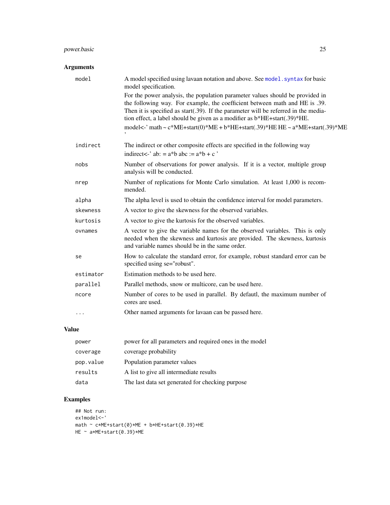# <span id="page-24-0"></span>power.basic 25

# Arguments

| model     | A model specified using lavaan notation and above. See model . syntax for basic<br>model specification.                                                                                                                                                                                                                                                                                                                                                             |
|-----------|---------------------------------------------------------------------------------------------------------------------------------------------------------------------------------------------------------------------------------------------------------------------------------------------------------------------------------------------------------------------------------------------------------------------------------------------------------------------|
|           | For the power analysis, the population parameter values should be provided in<br>the following way. For example, the coefficient between math and HE is .39.<br>Then it is specified as start(.39). If the parameter will be referred in the media-<br>tion effect, a label should be given as a modifier as $b*HE + start(.39)*HE$ .<br>model<-' math ~ $c^*ME + start(0)^*ME + b^*HE + start(.39)^*HE HE \sim a^*ME + start(.39)^*ME$<br>$\overline{\phantom{a}}$ |
| indirect  | The indirect or other composite effects are specified in the following way<br>indirect<-' ab: = $a^*b$ abc := $a^*b + c$ '                                                                                                                                                                                                                                                                                                                                          |
| nobs      | Number of observations for power analysis. If it is a vector, multiple group<br>analysis will be conducted.                                                                                                                                                                                                                                                                                                                                                         |
| nrep      | Number of replications for Monte Carlo simulation. At least 1,000 is recom-<br>mended.                                                                                                                                                                                                                                                                                                                                                                              |
| alpha     | The alpha level is used to obtain the confidence interval for model parameters.                                                                                                                                                                                                                                                                                                                                                                                     |
| skewness  | A vector to give the skewness for the observed variables.                                                                                                                                                                                                                                                                                                                                                                                                           |
| kurtosis  | A vector to give the kurtosis for the observed variables.                                                                                                                                                                                                                                                                                                                                                                                                           |
| ovnames   | A vector to give the variable names for the observed variables. This is only<br>needed when the skewness and kurtosis are provided. The skewness, kurtosis<br>and variable names should be in the same order.                                                                                                                                                                                                                                                       |
| se        | How to calculate the standard error, for example, robust standard error can be<br>specified using se="robust".                                                                                                                                                                                                                                                                                                                                                      |
| estimator | Estimation methods to be used here.                                                                                                                                                                                                                                                                                                                                                                                                                                 |
| parallel  | Parallel methods, snow or multicore, can be used here.                                                                                                                                                                                                                                                                                                                                                                                                              |
| ncore     | Number of cores to be used in parallel. By defautl, the maximum number of<br>cores are used.                                                                                                                                                                                                                                                                                                                                                                        |
| $\cdots$  | Other named arguments for lavaan can be passed here.                                                                                                                                                                                                                                                                                                                                                                                                                |

# Value

| power     | power for all parameters and required ones in the model |
|-----------|---------------------------------------------------------|
| coverage  | coverage probability                                    |
| pop.value | Population parameter values                             |
| results   | A list to give all intermediate results                 |
| data      | The last data set generated for checking purpose        |

# Examples

```
## Not run:
ex1model<-'
math \sim c*ME+start(0)*ME + b*HE+start(0.39)*HE
HE ~ a*ME+start(0.39)*ME
```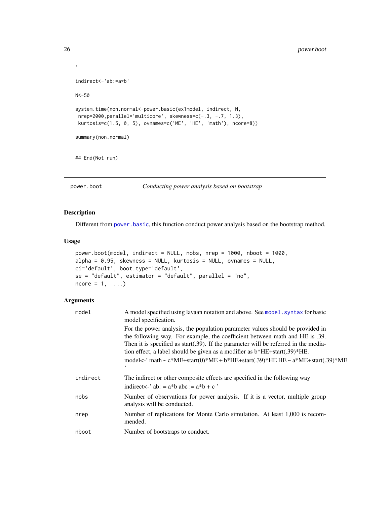```
indirect<-'ab:=a*b'
N<-50
system.time(non.normal<-power.basic(ex1model, indirect, N,
nrep=2000,parallel='multicore', skewness=c(-.3, -.7, 1.3),
 kurtosis=c(1.5, 0, 5), ovnames=c('ME', 'HE', 'math'), ncore=8))
summary(non.normal)
## End(Not run)
```
<span id="page-25-1"></span>power.boot *Conducting power analysis based on bootstrap*

#### Description

Different from [power.basic](#page-23-1), this function conduct power analysis based on the bootstrap method.

# Usage

```
power.boot(model, indirect = NULL, nobs, nrep = 1000, nboot = 1000,
alpha = 0.95, skewness = NULL, kurtosis = NULL, ovnames = NULL,
ci='default', boot.type='default',
se = "default", estimator = "default", parallel = "no",
ncore = 1, ...
```
#### Arguments

| model    | A model specified using lavaan notation and above. See model . syntax for basic<br>model specification.                                                                                                                                                                                                                                                                                                                                      |
|----------|----------------------------------------------------------------------------------------------------------------------------------------------------------------------------------------------------------------------------------------------------------------------------------------------------------------------------------------------------------------------------------------------------------------------------------------------|
|          | For the power analysis, the population parameter values should be provided in<br>the following way. For example, the coefficient between math and HE is .39.<br>Then it is specified as start(.39). If the parameter will be referred in the media-<br>tion effect, a label should be given as a modifier as $b*HE + start(.39)*HE$ .<br>model<-' math ~ $c^*ME + start(0)^*ME + b^*HE + start(.39)^*HE HE \sim a^*ME + start(.39)^*ME$<br>, |
| indirect | The indirect or other composite effects are specified in the following way<br>indirect<-' ab: = $a^*b$ abc := $a^*b + c'$                                                                                                                                                                                                                                                                                                                    |
| nobs     | Number of observations for power analysis. If it is a vector, multiple group<br>analysis will be conducted.                                                                                                                                                                                                                                                                                                                                  |
| nrep     | Number of replications for Monte Carlo simulation. At least 1,000 is recom-<br>mended.                                                                                                                                                                                                                                                                                                                                                       |
| nboot    | Number of bootstraps to conduct.                                                                                                                                                                                                                                                                                                                                                                                                             |

<span id="page-25-0"></span>'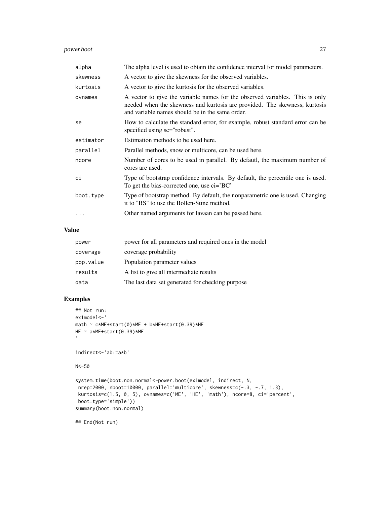# power.boot 27

| alpha     | The alpha level is used to obtain the confidence interval for model parameters.                                                                                                                               |
|-----------|---------------------------------------------------------------------------------------------------------------------------------------------------------------------------------------------------------------|
| skewness  | A vector to give the skewness for the observed variables.                                                                                                                                                     |
| kurtosis  | A vector to give the kurtosis for the observed variables.                                                                                                                                                     |
| ovnames   | A vector to give the variable names for the observed variables. This is only<br>needed when the skewness and kurtosis are provided. The skewness, kurtosis<br>and variable names should be in the same order. |
| se        | How to calculate the standard error, for example, robust standard error can be<br>specified using se="robust".                                                                                                |
| estimator | Estimation methods to be used here.                                                                                                                                                                           |
| parallel  | Parallel methods, snow or multicore, can be used here.                                                                                                                                                        |
| ncore     | Number of cores to be used in parallel. By defautl, the maximum number of<br>cores are used.                                                                                                                  |
| сi        | Type of bootstrap confidence intervals. By default, the percentile one is used.<br>To get the bias-corrected one, use $\text{ci} = \text{BC}'$                                                                |
| boot.type | Type of bootstrap method. By default, the nonparametric one is used. Changing<br>it to "BS" to use the Bollen-Stine method.                                                                                   |
|           | Other named arguments for lavaan can be passed here.                                                                                                                                                          |

# Value

| power     | power for all parameters and required ones in the model |
|-----------|---------------------------------------------------------|
| coverage  | coverage probability                                    |
| pop.value | Population parameter values                             |
| results   | A list to give all intermediate results                 |
| data      | The last data set generated for checking purpose        |

# Examples

```
## Not run:
ex1model<-'
math \sim c*ME+start(0)*ME + b*HE+start(0.39)*HE
HE ~ a*ME+start(0.39)*ME
\,indirect<-'ab:=a*b'
N<-50
system.time(boot.non.normal<-power.boot(ex1model, indirect, N,
 nrep=2000, nboot=10000, parallel='multicore', skewness=c(-.3, -.7, 1.3),
 kurtosis=c(1.5, 0, 5), ovnames=c('ME', 'HE', 'math'), ncore=8, ci='percent',
boot.type='simple'))
summary(boot.non.normal)
## End(Not run)
```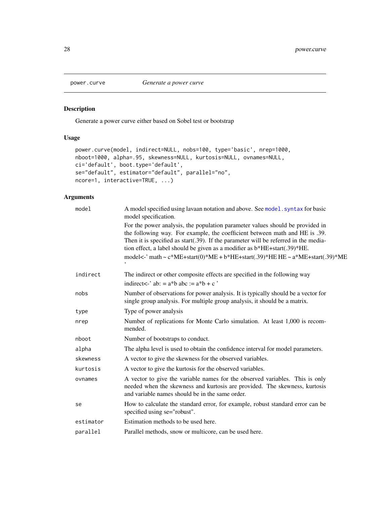<span id="page-27-0"></span>

Generate a power curve either based on Sobel test or bootstrap

# Usage

```
power.curve(model, indirect=NULL, nobs=100, type='basic', nrep=1000,
nboot=1000, alpha=.95, skewness=NULL, kurtosis=NULL, ovnames=NULL,
ci='default', boot.type='default',
se="default", estimator="default", parallel="no",
ncore=1, interactive=TRUE, ...)
```

| model     | A model specified using lavaan notation and above. See model. syntax for basic<br>model specification.                                                                                                                                                                                                                                                                                                                             |
|-----------|------------------------------------------------------------------------------------------------------------------------------------------------------------------------------------------------------------------------------------------------------------------------------------------------------------------------------------------------------------------------------------------------------------------------------------|
|           | For the power analysis, the population parameter values should be provided in<br>the following way. For example, the coefficient between math and HE is .39.<br>Then it is specified as start(.39). If the parameter will be referred in the media-<br>tion effect, a label should be given as a modifier as b*HE+start(.39)*HE.<br>model<-' math ~ $c^*ME + start(0)^*ME + b^*HE + start(.39)^*HE HE \sim a^*ME + start(.39)^*ME$ |
| indirect  | The indirect or other composite effects are specified in the following way<br>indirect<-' ab: = $a^*b$ abc := $a^*b + c$ '                                                                                                                                                                                                                                                                                                         |
| nobs      | Number of observations for power analysis. It is typically should be a vector for<br>single group analysis. For multiple group analysis, it should be a matrix.                                                                                                                                                                                                                                                                    |
| type      | Type of power analysis                                                                                                                                                                                                                                                                                                                                                                                                             |
| nrep      | Number of replications for Monte Carlo simulation. At least 1,000 is recom-<br>mended.                                                                                                                                                                                                                                                                                                                                             |
| nboot     | Number of bootstraps to conduct.                                                                                                                                                                                                                                                                                                                                                                                                   |
| alpha     | The alpha level is used to obtain the confidence interval for model parameters.                                                                                                                                                                                                                                                                                                                                                    |
| skewness  | A vector to give the skewness for the observed variables.                                                                                                                                                                                                                                                                                                                                                                          |
| kurtosis  | A vector to give the kurtosis for the observed variables.                                                                                                                                                                                                                                                                                                                                                                          |
| ovnames   | A vector to give the variable names for the observed variables. This is only<br>needed when the skewness and kurtosis are provided. The skewness, kurtosis<br>and variable names should be in the same order.                                                                                                                                                                                                                      |
| se        | How to calculate the standard error, for example, robust standard error can be<br>specified using se="robust".                                                                                                                                                                                                                                                                                                                     |
| estimator | Estimation methods to be used here.                                                                                                                                                                                                                                                                                                                                                                                                |
| parallel  | Parallel methods, snow or multicore, can be used here.                                                                                                                                                                                                                                                                                                                                                                             |
|           |                                                                                                                                                                                                                                                                                                                                                                                                                                    |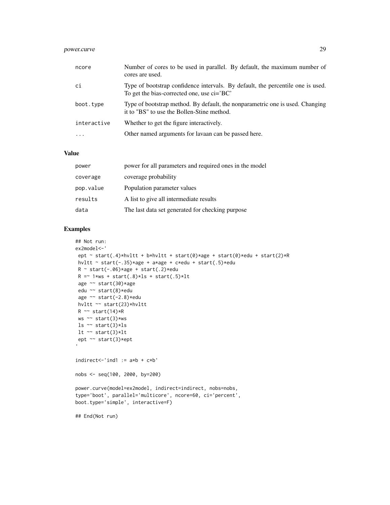# power.curve 29

| ncore       | Number of cores to be used in parallel. By default, the maximum number of<br>cores are used.                                  |
|-------------|-------------------------------------------------------------------------------------------------------------------------------|
| ci          | Type of bootstrap confidence intervals. By default, the percentile one is used.<br>To get the bias-corrected one, use ci='BC' |
| boot.type   | Type of bootstrap method. By default, the nonparametric one is used. Changing<br>it to "BS" to use the Bollen-Stine method.   |
| interactive | Whether to get the figure interactively.                                                                                      |
| $\ddotsc$   | Other named arguments for lavaan can be passed here.                                                                          |

#### Value

| power     | power for all parameters and required ones in the model |
|-----------|---------------------------------------------------------|
| coverage  | coverage probability                                    |
| pop.value | Population parameter values                             |
| results   | A list to give all intermediate results                 |
| data      | The last data set generated for checking purpose        |

# Examples

```
## Not run:
ex2model<-'
 ept ~ start(.4)*hvltt + b*hvltt + start(0)*age + start(0)*edu + start(2)*R
hvltt ~ start(-.35)*age + a*age + c*edu + start(.5)*edu
 R \sim start(-.06) * age + start(.2) *eduR = 1*ws + start(.8)*ls + start(.5)*ltage ~~ start(30)*age
edu ~~ start(8)*edu
 age ~~ start(-2.8)*edu
hvltt ~~ start(23)*hvltt
R \sim \text{start}(14) * Rws ~~ start(3)*ws
ls ~~ start(3)*ls
lt ~~ start(3)*lt
ept ~~ start(3)*ept
indirect \le 'ind1 := a*b + c*b'nobs <- seq(100, 2000, by=200)
power.curve(model=ex2model, indirect=indirect, nobs=nobs,
type='boot', parallel='multicore', ncore=60, ci='percent',
boot.type='simple', interactive=F)
## End(Not run)
```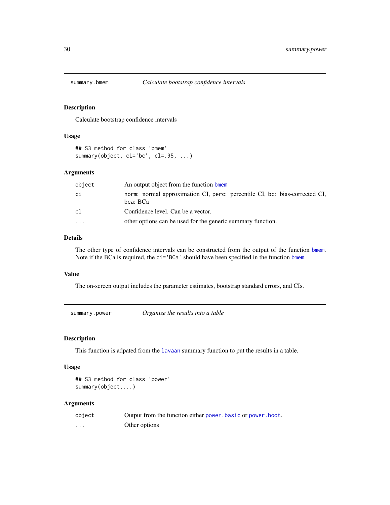<span id="page-29-0"></span>

Calculate bootstrap confidence intervals

#### Usage

```
## S3 method for class 'bmem'
summary(object, ci='bc', cl=.95, ...)
```
#### Arguments

| object    | An output object from the function bmem                                                |
|-----------|----------------------------------------------------------------------------------------|
| сi        | norm: normal approximation CI, perc: percentile CI, bc: bias-corrected CI,<br>bca: BCa |
| cl        | Confidence level. Can be a vector.                                                     |
| $\ddotsc$ | other options can be used for the generic summary function.                            |

#### Details

The other type of confidence intervals can be constructed from the output of the function [bmem](#page-2-1). Note if the BCa is required, the ci='BCa' should have been specified in the function [bmem](#page-2-1).

#### Value

The on-screen output includes the parameter estimates, bootstrap standard errors, and CIs.

summary.power *Organize the results into a table*

#### Description

This function is adpated from the [lavaan](#page-0-0) summary function to put the results in a table.

#### Usage

## S3 method for class 'power' summary(object,...)

| object  | Output from the function either power, basic or power, boot. |
|---------|--------------------------------------------------------------|
| $\cdot$ | Other options                                                |